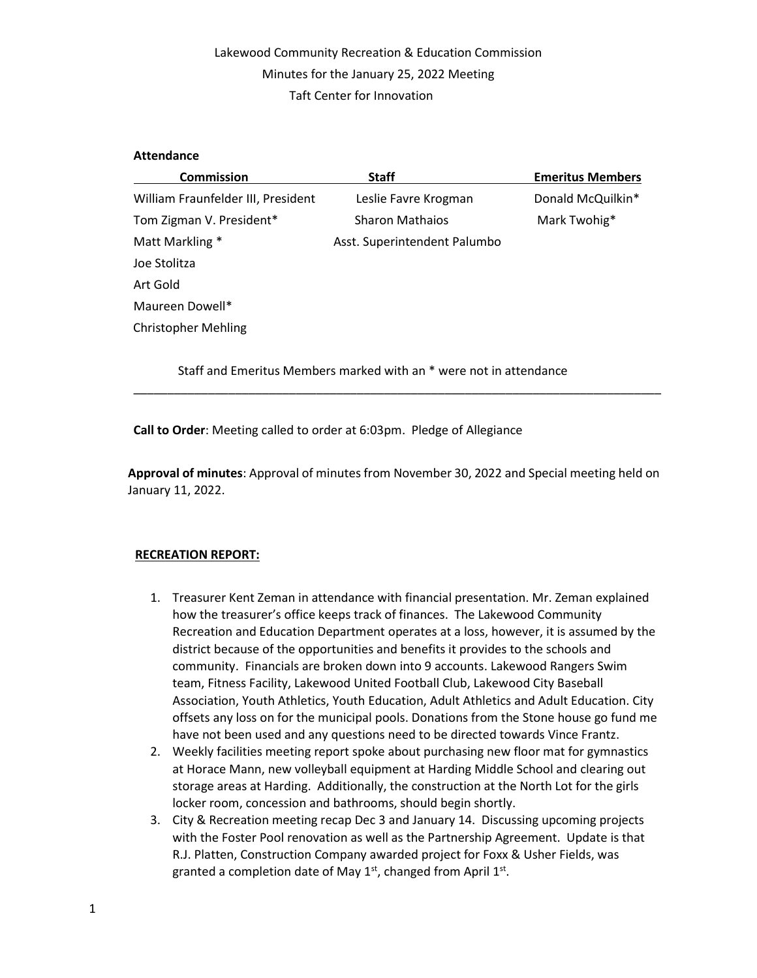# Lakewood Community Recreation & Education Commission Minutes for the January 25, 2022 Meeting Taft Center for Innovation

## **Attendance**

| <b>Commission</b>                  | <b>Staff</b>                 | <b>Emeritus Members</b> |
|------------------------------------|------------------------------|-------------------------|
| William Fraunfelder III, President | Leslie Favre Krogman         | Donald McQuilkin*       |
| Tom Zigman V. President*           | <b>Sharon Mathaios</b>       | Mark Twohig*            |
| Matt Markling *                    | Asst. Superintendent Palumbo |                         |
| Joe Stolitza                       |                              |                         |
| Art Gold                           |                              |                         |
| Maureen Dowell*                    |                              |                         |
| <b>Christopher Mehling</b>         |                              |                         |

Staff and Emeritus Members marked with an \* were not in attendance

**Call to Order**: Meeting called to order at 6:03pm. Pledge of Allegiance

**Approval of minutes**: Approval of minutes from November 30, 2022 and Special meeting held on January 11, 2022.

\_\_\_\_\_\_\_\_\_\_\_\_\_\_\_\_\_\_\_\_\_\_\_\_\_\_\_\_\_\_\_\_\_\_\_\_\_\_\_\_\_\_\_\_\_\_\_\_\_\_\_\_\_\_\_\_\_\_\_\_\_\_\_\_\_\_\_\_\_\_\_\_\_\_\_\_\_\_

## **RECREATION REPORT:**

- 1. Treasurer Kent Zeman in attendance with financial presentation. Mr. Zeman explained how the treasurer's office keeps track of finances. The Lakewood Community Recreation and Education Department operates at a loss, however, it is assumed by the district because of the opportunities and benefits it provides to the schools and community. Financials are broken down into 9 accounts. Lakewood Rangers Swim team, Fitness Facility, Lakewood United Football Club, Lakewood City Baseball Association, Youth Athletics, Youth Education, Adult Athletics and Adult Education. City offsets any loss on for the municipal pools. Donations from the Stone house go fund me have not been used and any questions need to be directed towards Vince Frantz.
- 2. Weekly facilities meeting report spoke about purchasing new floor mat for gymnastics at Horace Mann, new volleyball equipment at Harding Middle School and clearing out storage areas at Harding. Additionally, the construction at the North Lot for the girls locker room, concession and bathrooms, should begin shortly.
- 3. City & Recreation meeting recap Dec 3 and January 14. Discussing upcoming projects with the Foster Pool renovation as well as the Partnership Agreement. Update is that R.J. Platten, Construction Company awarded project for Foxx & Usher Fields, was granted a completion date of May 1<sup>st</sup>, changed from April 1<sup>st</sup>.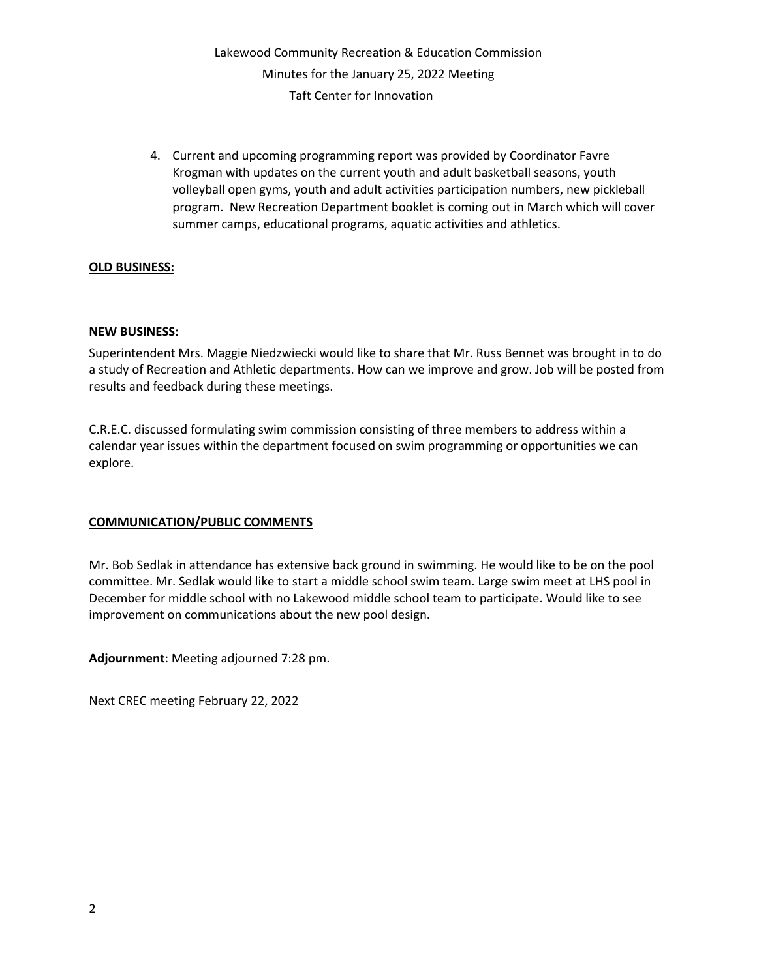Lakewood Community Recreation & Education Commission Minutes for the January 25, 2022 Meeting Taft Center for Innovation

4. Current and upcoming programming report was provided by Coordinator Favre Krogman with updates on the current youth and adult basketball seasons, youth volleyball open gyms, youth and adult activities participation numbers, new pickleball program. New Recreation Department booklet is coming out in March which will cover summer camps, educational programs, aquatic activities and athletics.

## **OLD BUSINESS:**

## **NEW BUSINESS:**

Superintendent Mrs. Maggie Niedzwiecki would like to share that Mr. Russ Bennet was brought in to do a study of Recreation and Athletic departments. How can we improve and grow. Job will be posted from results and feedback during these meetings.

C.R.E.C. discussed formulating swim commission consisting of three members to address within a calendar year issues within the department focused on swim programming or opportunities we can explore.

## **COMMUNICATION/PUBLIC COMMENTS**

Mr. Bob Sedlak in attendance has extensive back ground in swimming. He would like to be on the pool committee. Mr. Sedlak would like to start a middle school swim team. Large swim meet at LHS pool in December for middle school with no Lakewood middle school team to participate. Would like to see improvement on communications about the new pool design.

**Adjournment**: Meeting adjourned 7:28 pm.

Next CREC meeting February 22, 2022